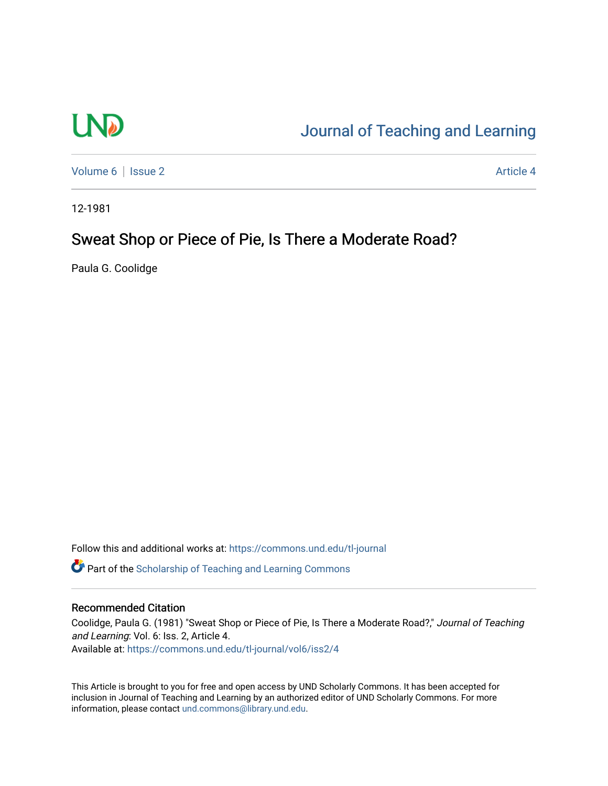# **LND**

## [Journal of Teaching and Learning](https://commons.und.edu/tl-journal)

[Volume 6](https://commons.und.edu/tl-journal/vol6) | [Issue 2](https://commons.und.edu/tl-journal/vol6/iss2) Article 4

12-1981

### Sweat Shop or Piece of Pie, Is There a Moderate Road?

Paula G. Coolidge

Follow this and additional works at: [https://commons.und.edu/tl-journal](https://commons.und.edu/tl-journal?utm_source=commons.und.edu%2Ftl-journal%2Fvol6%2Fiss2%2F4&utm_medium=PDF&utm_campaign=PDFCoverPages)

**C** Part of the Scholarship of Teaching and Learning Commons

#### Recommended Citation

Coolidge, Paula G. (1981) "Sweat Shop or Piece of Pie, Is There a Moderate Road?," Journal of Teaching and Learning: Vol. 6: Iss. 2, Article 4. Available at: [https://commons.und.edu/tl-journal/vol6/iss2/4](https://commons.und.edu/tl-journal/vol6/iss2/4?utm_source=commons.und.edu%2Ftl-journal%2Fvol6%2Fiss2%2F4&utm_medium=PDF&utm_campaign=PDFCoverPages) 

This Article is brought to you for free and open access by UND Scholarly Commons. It has been accepted for inclusion in Journal of Teaching and Learning by an authorized editor of UND Scholarly Commons. For more information, please contact [und.commons@library.und.edu.](mailto:und.commons@library.und.edu)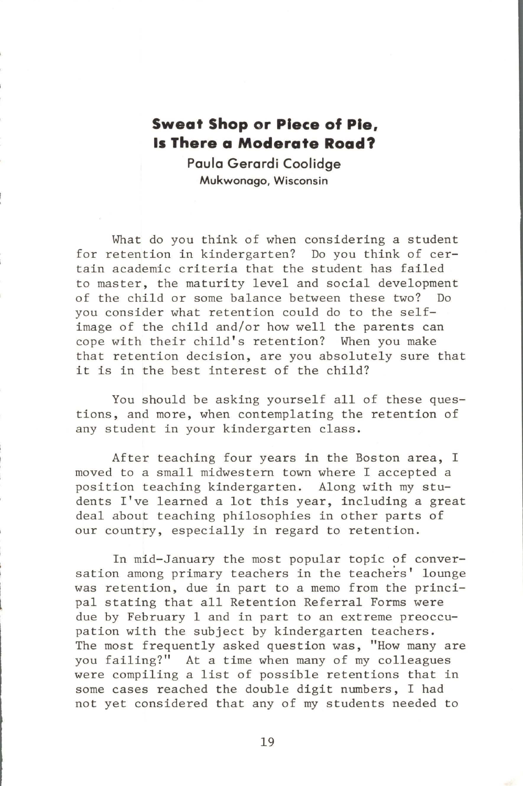#### **Sweat Shop or Piece of Pie, Is There a Moderate Road?**

**Paula Gerardi Coolidge Mukwonago, Wisconsin** 

What do you think of when considering a student for retention in kindergarten? Do you think of certain academic criteria that the student has failed to master, the maturity level and social development of the child or some balance between these two? Do you consider what retention could do to the selfimage of the child and/or how well the parents can cope with their child's retention? When you make that retention decision, are you absolutely sure that it is in the best interest of the child?

You should be asking yourself all of these questions, and more, when contemplating the retention of any student in your kindergarten class.

After teaching four years in the Boston area, I moved to a small midwestern town where I accepted a position teaching kindergarten. Along with my students I've learned a lot this year, including a great deal about teaching philosophies in other parts of our country, especially in regard to retention.

In mid-January the most popular topic of conversation among primary teachers in the teachers' lounge was retention, due in part to a memo from the principal stating that all Retention Referral Forms were due by February 1 and in part to an extreme preoccupation with the subject by kindergarten teachers. The most frequently asked question was, "How many are you failing?" At a time when many of my colleagues were compiling a list of possible retentions that in some cases reached the double digit numbers, I had not yet considered that any of my students needed to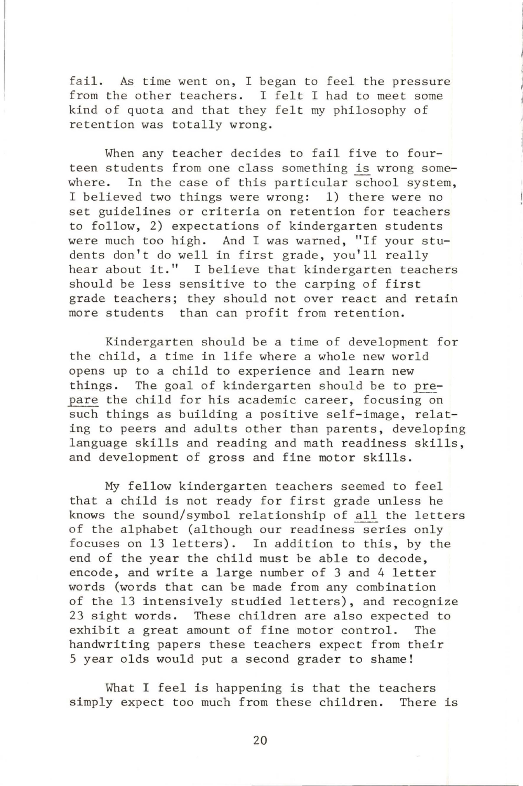fail. As time went on, I began to feel the pressure from the other teachers. I felt I had to meet some kind of quota and that they felt my philosophy of retention was totally wrong.

When any teacher decides to fail five to fourteen students from one class something is wrong somewhere. In the case of this particular school system, I believed two things were wrong: 1) there were no set guidelines or criteria on retention for teachers to follow, 2) expectations of kindergarten students were much too high. And I was warned, "If your students don't do well in first grade, you'll really hear about it." I believe that kindergarten teachers should be less sensitive to the carping of first grade teachers; they should not over react and retain more students than can profit from retention.

Kindergarten should be a time of development for the child, a time in life where a whole new world opens up to a child to experience and learn new things. The goal of kindergarten should be to prepare the child for his academic career, focusing on such things as building a positive self-image, relating to peers and adults other than parents, developing language skills and reading and math readiness skills, and development of gross and fine motor skills.

My fellow kindergarten teachers seemed to feel that a child is not ready for first grade unless he knows the sound/symbol relationship of all the letters of the alphabet (although our readiness series only focuses on 13 letters). In addition to this, by the end of the year the child must be able to decode, encode, and write a large number of 3 and 4 letter words (words that can be made from any combination of the 13 intensively studied letters), and recognize 23 sight words. These children are also expected to exhibit a great amount of fine motor control. The handwriting papers these teachers expect from their 5 year olds would put a second grader to shame!

What I feel is happening is that the teachers simply expect too much from these children. There is